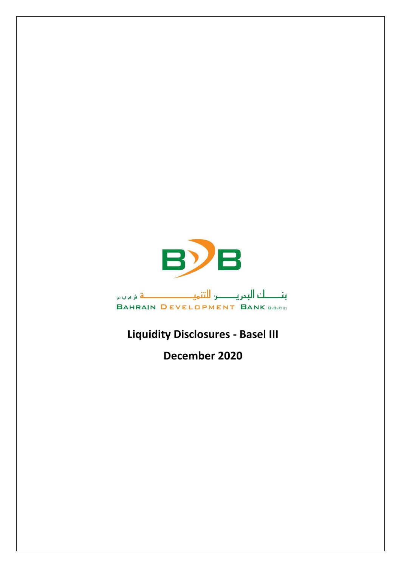

## **Liquidity Disclosures - Basel III**

**December 2020**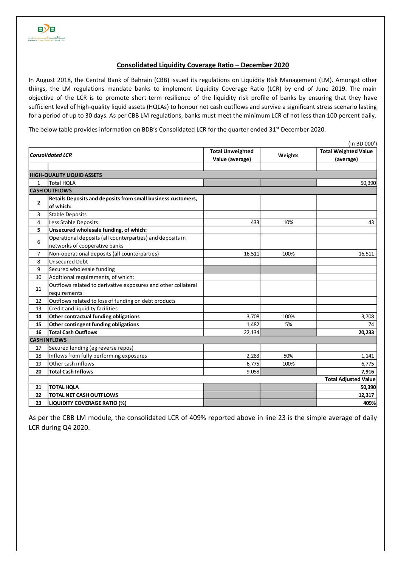## **Consolidated Liquidity Coverage Ratio – December 2020**

In August 2018, the Central Bank of Bahrain (CBB) issued its regulations on Liquidity Risk Management (LM). Amongst other things, the LM regulations mandate banks to implement Liquidity Coverage Ratio (LCR) by end of June 2019. The main objective of the LCR is to promote short-term resilience of the liquidity risk profile of banks by ensuring that they have sufficient level of high-quality liquid assets (HQLAs) to honour net cash outflows and survive a significant stress scenario lasting for a period of up to 30 days. As per CBB LM regulations, banks must meet the minimum LCR of not less than 100 percent daily.

The below table provides information on BDB's Consolidated LCR for the quarter ended 31<sup>st</sup> December 2020.

|                         | (In BD 000')                                                  |                         |         |                             |  |  |  |  |  |
|-------------------------|---------------------------------------------------------------|-------------------------|---------|-----------------------------|--|--|--|--|--|
| <b>Consolidated LCR</b> |                                                               | <b>Total Unweighted</b> |         | <b>Total Weighted Value</b> |  |  |  |  |  |
|                         |                                                               | Value (average)         | Weights | (average)                   |  |  |  |  |  |
|                         |                                                               |                         |         |                             |  |  |  |  |  |
|                         | <b>HIGH-QUALITY LIQUID ASSETS</b>                             |                         |         |                             |  |  |  |  |  |
| $\mathbf{1}$            | <b>Total HOLA</b>                                             |                         |         | 50,390                      |  |  |  |  |  |
|                         | <b>CASH OUTFLOWS</b>                                          |                         |         |                             |  |  |  |  |  |
| $\overline{2}$          | Retails Deposits and deposits from small business customers,  |                         |         |                             |  |  |  |  |  |
|                         | of which:                                                     |                         |         |                             |  |  |  |  |  |
| 3                       | Stable Deposits                                               |                         |         |                             |  |  |  |  |  |
| 4                       | Less Stable Deposits                                          | 433                     | 10%     | 43                          |  |  |  |  |  |
| 5                       | Unsecured wholesale funding, of which:                        |                         |         |                             |  |  |  |  |  |
| 6                       | Operational deposits (all counterparties) and deposits in     |                         |         |                             |  |  |  |  |  |
|                         | networks of cooperative banks                                 |                         |         |                             |  |  |  |  |  |
| 7                       | Non-operational deposits (all counterparties)                 | 16,511                  | 100%    | 16,511                      |  |  |  |  |  |
| 8                       | <b>Unsecured Debt</b>                                         |                         |         |                             |  |  |  |  |  |
| 9                       | Secured wholesale funding                                     |                         |         |                             |  |  |  |  |  |
| 10                      | Additional requirements, of which:                            |                         |         |                             |  |  |  |  |  |
| 11                      | Outflows related to derivative exposures and other collateral |                         |         |                             |  |  |  |  |  |
|                         | requirements                                                  |                         |         |                             |  |  |  |  |  |
| 12                      | Outflows related to loss of funding on debt products          |                         |         |                             |  |  |  |  |  |
| 13                      | Credit and liquidity facilities                               |                         |         |                             |  |  |  |  |  |
| 14                      | Other contractual funding obligations                         | 3,708                   | 100%    | 3,708                       |  |  |  |  |  |
| 15                      | Other contingent funding obligations                          | 1,482                   | 5%      | 74                          |  |  |  |  |  |
| 16                      | <b>Total Cash Outflows</b>                                    | 22,134                  |         | 20,233                      |  |  |  |  |  |
|                         | <b>CASH INFLOWS</b>                                           |                         |         |                             |  |  |  |  |  |
| 17                      | Secured lending (eg reverse repos)                            |                         |         |                             |  |  |  |  |  |
| 18                      | Inflows from fully performing exposures                       | 2,283                   | 50%     | 1,141                       |  |  |  |  |  |
| 19                      | Other cash inflows                                            | 6,775                   | 100%    | 6,775                       |  |  |  |  |  |
| 20                      | <b>Total Cash Inflows</b>                                     | 9,058                   |         | 7,916                       |  |  |  |  |  |
|                         |                                                               |                         |         | <b>Total Adjusted Value</b> |  |  |  |  |  |
| 21                      | <b>TOTAL HQLA</b>                                             |                         |         | 50,390                      |  |  |  |  |  |
| 22                      | <b>TOTAL NET CASH OUTFLOWS</b>                                |                         |         | 12,317                      |  |  |  |  |  |
| 23                      | <b>LIQUIDITY COVERAGE RATIO (%)</b>                           |                         |         | 409%                        |  |  |  |  |  |

As per the CBB LM module, the consolidated LCR of 409% reported above in line 23 is the simple average of daily LCR during Q4 2020.